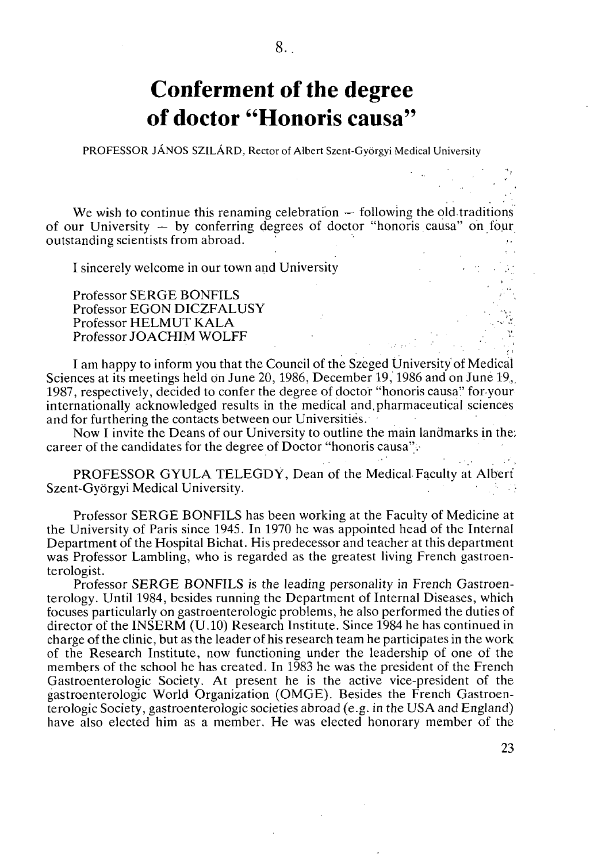## **Conferment of the degree of doctor "Honoris causa"**

**PROFESSOR JÁNOS SZILÁRD, Rector of Albert Szent-Györgyi Medical University** 

We wish to continue this renaming celebration  $-$  following the old traditions of our University  $-$  by conferring degrees of doctor "honoris causa" on four outstanding scientists from abroad.

I sincerely welcome in our town and University

Professor SERGE BONFILS Professor EGON DICZFALUSY Professor HELMUT KALA Professor JOACHIM WOLFF

I am happy to inform you that the Council of the Szeged University of Medical Sciences at its meetings held on June 20, 1986, December 19, 1986 and on June 19, 1987, respectively, decided to confer the degree of doctor "honoris causa" for your internationally acknowledged results in the medical and.pharmaceutical sciences and for furthering the contacts between our Universities.

Now I invite the Deans of our University to outline the main landmarks in the; career of the candidates for the degree of Doctor "honoris causa".

PROFESSOR GYULA TELEGDY, Dean of the Medical Faculty at Albert<br>tt-Györgyi Medical University Szent-Györgyi Medical University.

Professor SERGE BONFILS has been working at the Faculty of Medicine at the University of Paris since 1945. In 1970 he was appointed head of the Internal Department of the Hospital Bichat. His predecessor and teacher at this department was Professor Lambling, who is regarded as the greatest living French gastroenterologist.

Professor SERGE BONFILS is the leading personality in French Gastroenterology. Until 1984, besides running the Department of Internal Diseases, which focuses particularly on gastroenterologic problems, he also performed the duties of director of the INSERM (U.10) Research Institute. Since 1984 he has continued in charge of the clinic, but as the leader of his research team he participates in the work of the Research Institute, now functioning under the leadership of one of the members of the school he has created. In 1983 he was the president of the French Gastroenterologic Society. At present he is the active vice-president of the gastroenterologic World Organization (OMGE). Besides the French Gastroenterologic Society, gastroenterologic societies abroad (e.g. in the USA and England) have also elected him as a member. He was elected honorary member of the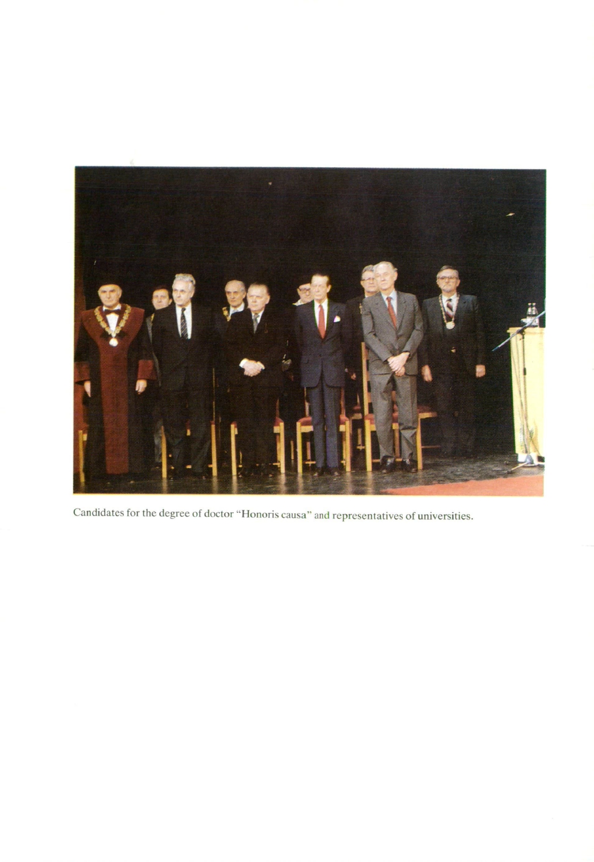

Candidates for the degree of doctor "Honoris causa" and representatives of universities.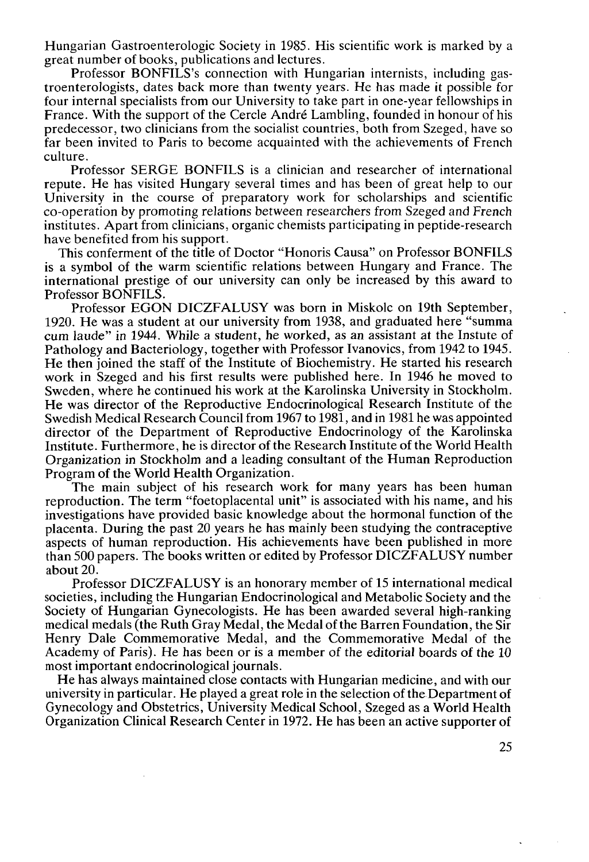Hungarian Gastroenterologie Society in 1985. His scientific work is marked by a great number of books, publications and lectures.

Professor BONFILS's connection with Hungarian internists, including gastroenterologists, dates back more than twenty years. He has made it possible for four internal specialists from our University to take part in one-year fellowships in France. With the support of the Cercle André Lambling, founded in honour of his predecessor, two clinicians from the socialist countries, both from Szeged, have so far been invited to Paris to become acquainted with the achievements of French culture.

Professor SERGE BONFILS is a clinician and researcher of international repute. He has visited Hungary several times and has been of great help to our University in the course of preparatory work for scholarships and scientific co-operation by promoting relations between researchers from Szeged and French institutes. Apart from clinicians, organic chemists participating in peptide-research have benefited from his support.

This conferment of the title of Doctor "Honoris Causa" on Professor BONFILS is a symbol of the warm scientific relations between Hungary and France. The international prestige of our university can only be increased by this award to Professor BONFILS.

Professor EGON DICZFALUSY was born in Miskolc on 19th September, 1920. He was a student at our university from 1938, and graduated here "summa cum laude" in 1944. While a student, he worked, as an assistant at the Instute of Pathology and Bacteriology, together with Professor Ivanovics, from 1942 to 1945. He then joined the staff of the Institute of Biochemistry. He started his research work in Szeged and his first results were published here. In 1946 he moved to Sweden, where he continued his work at the Karolinska University in Stockholm. He was director of the Reproductive Endocrinological Research Institute of the Swedish Medical Research Council from 1967 to 1981, and in 1981 he was appointed director of the Department of Reproductive Endocrinology of the Karolinska Institute. Furthermore, he is director of the Research Institute of the World Health Organization in Stockholm and a leading consultant of the Human Reproduction Program of the World Health Organization.

The main subject of his research work for many years has been human reproduction. The term "foetoplacental unit" is associated with his name, and his investigations have provided basic knowledge about the hormonal function of the placenta. During the past 20 years he has mainly been studying the contraceptive aspects of human reproduction. His achievements have been published in more than 500 papers. The books written or edited by Professor DICZFALUSY number about 20.

Professor DICZFALUSY is an honorary member of 15 international medical societies, including the Hungarian Endocrinological and Metabolic Society and the Society of Hungarian Gynecologists. He has been awarded several high-ranking medical medals (the Ruth Gray Medal, the Medal of the Barren Foundation, the Sir Henry Dale Commemorative Medal, and the Commemorative Medal of the Academy of Paris). He has been or is a member of the editorial boards of the 10 most important endocrinological journals.

He has always maintained close contacts with Hungarian medicine, and with our university in particular. He played a great role in the selection of the Department of Gynecology and Obstetrics, University Medical School, Szeged as a World Health Organization Clinical Research Center in 1972. He has been an active supporter of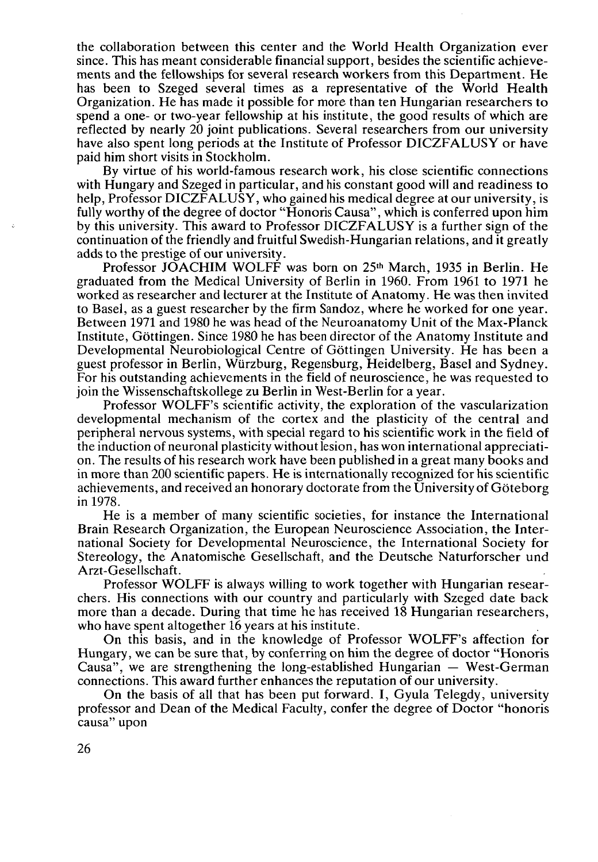the collaboration between this center and the World Health Organization ever since. This has meant considerable financial support, besides the scientific achievements and the fellowships for several research workers from this Department. He has been to Szeged several times as a representative of the World Health Organization. He has made it possible for more than ten Hungarian researchers to spend a one- or two-year fellowship at his institute, the good results of which are reflected by nearly 20 joint publications. Several researchers from our university have also spent long periods at the Institute of Professor DICZFALUSY or have paid him short visits in Stockholm.

By virtue of his world-famous research work, his close scientific connections with Hungary and Szeged in particular, and his constant good will and readiness to help, Professor DICZFALUSY, who gained his medical degree at our university, is fully worthy of the degree of doctor "Honoris Causa", which is conferred upon him by this university. This award to Professor DICZFALUSY is a further sign of the continuation of the friendly and fruitful Swedish-Hungarian relations, and it greatly adds to the prestige of our university.

Professor JOACHIM WOLFF was born on 25<sup>th</sup> March, 1935 in Berlin. He graduated from the Medical University of Berlin in 1960. From 1961 to 1971 he worked as researcher and lecturer at the Institute of Anatomy. He was then invited to Basel, as a guest researcher by the firm Sandoz, where he worked for one year. Between 1971 and 1980 he was head of the Neuroanatomy Unit of the Max-Planck Institute, Göttingen. Since 1980 he has been director of the Anatomy Institute and Developmental Neurobiological Centre of Göttingen University. He has been a guest professor in Berlin, Würzburg, Regensburg, Heidelberg, Basel and Sydney. For his outstanding achievements in the field of neuroscience, he was requested to join the Wissenschaftskollege zu Berlin in West-Berlin for a year.

Professor WOLFF's scientific activity, the exploration of the vascularization developmental mechanism of the cortex and the plasticity of the central and peripheral nervous systems, with special regard to his scientific work in the field of the induction of neuronal plasticity without lesion, has won international appreciation. The results of his research work have been published in a great many books and in more than 200 scientific papers. He is internationally recognized for his scientific achievements, and received an honorary doctorate from the University of Göteborg in 1978.

He is a member of many scientific societies, for instance the International Brain Research Organization, the European Neuroscience Association, the International Society for Developmental Neuroscience, the International Society for Stereology, the Anatomische Gesellschaft, and the Deutsche Naturforscher und Arzt-Gesellschaft.

Professor WOLFF is always willing to work together with Hungarian researchers. His connections with our country and particularly with Szeged date back more than a decade. During that time he has received 18 Hungarian researchers, who have spent altogether 16 years at his institute.

On this basis, and in the knowledge of Professor WOLFF's affection for Hungary, we can be sure that, by conferring on him the degree of doctor "Honoris Causa", we are strengthening the long-established Hungarian — West-German connections. This award further enhances the reputation of our university.

On the basis of all that has been put forward. I, Gyula Telegdy, university professor and Dean of the Medical Faculty, confer the degree of Doctor "honoris causa" upon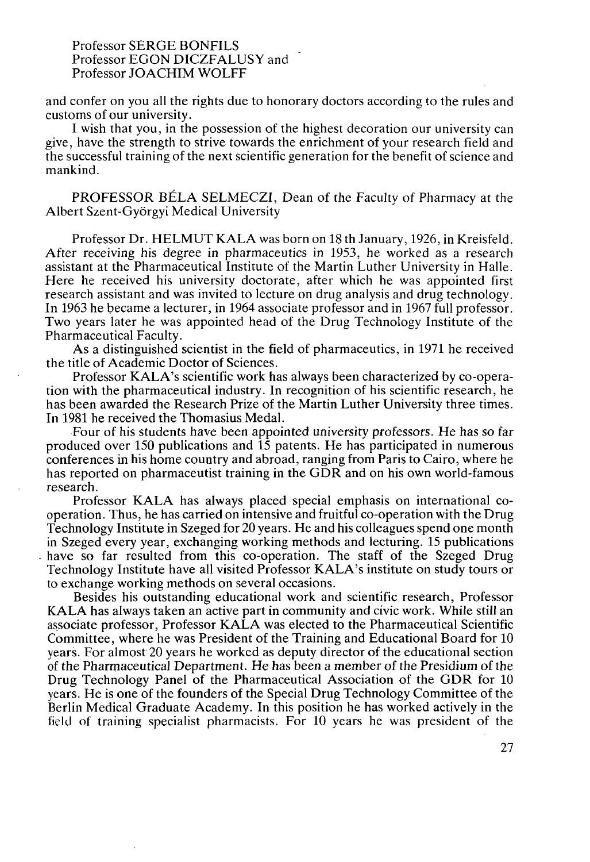## Professor SERGE BONFILS Professor EGON DICZFALUSY and Professor JOACHIM WOLFF

and confer on you all the rights due to honorary doctors according to the rules and customs of our university.

I wish that you, in the possession of the highest decoration our university can give, have the strength to strive towards the enrichment of your research field and the successful training of the next scientific generation for the benefit of science and mankind.

PROFESSOR BÉLA SELMECZI, Dean of the Faculty of Pharmacy at the Albert Szent-Györgyi Medical University

Professor Dr. HELMUT KALA was born on 18 th January, 1926, in Kreisfeld. After receiving his degree in pharmaceutics in 1953, he worked as a research assistant at the Pharmaceutical Institute of the Martin Luther University in Halle. Here he received his university doctorate, after which he was appointed first research assistant and was invited to lecture on drug analysis and drug technology. In 1963 he became a lecturer, in 1964 associate professor and in 1967 full professor. Two years later he was appointed head of the Drug Technology Institute of the Pharmaceutical Faculty.

As a distinguished scientist in the field of pharmaceutics, in 1971 he received the title of Academic Doctor of Sciences.

Professor KALA's scientific work has always been characterized by co-operation with the pharmaceutical industry. In recognition of his scientific research, he has been awarded the Research Prize of the Martin Luther University three times. In 1981 he received the Thomasius Medal.

Four of his students have been appointed university professors. He has so far produced over 150 publications and 15 patents. He has participated in numerous conferences in his home country and abroad, ranging from Paris to Cairo, where he has reported on pharmaceutist training in the GDR and on his own world-famous research.

Professor KALA has always placed special emphasis on international cooperation. Thus, he has carried on intensive and fruitful co-operation with the Drug Technology Institute in Szeged for 20 years. He and his colleagues spend one month in Szeged every year, exchanging working methods and lecturing. 15 publications have so far resulted from this co-operation. The staff of the Szeged Drug Technology Institute have all visited Professor KALA's institute on study tours or to exchange working methods on several occasions.

Besides his outstanding educational work and scientific research, Professor KALA has always taken an active part in community and civic work. While still an associate professor, Professor KALA was elected to the Pharmaceutical Scientific Committee, where he was President of the Training and Educational Board for 10 years. For almost 20 years he worked as deputy director of the educational section of the Pharmaceutical Department. He has been a member of the Presidium of the Drug Technology Panel of the Pharmaceutical Association of the GDR for 10 years. He is one of the founders of the Special Drug Technology Committee of the Berlin Medical Graduate Academy. In this position he has worked actively in the field of training specialist pharmacists. For 10 years he was president of the